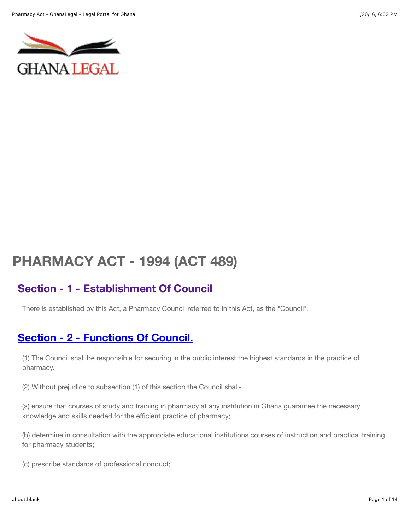

# **PHARMACY ACT - 1994 (ACT 489)**

# **[Section - 1 - Establishment Of Council](http://laws.ghanalegal.com/acts/id/193/section/1/Establishment_Of_Council)**

There is established by this Act, a Pharmacy Council referred to in this Act, as the "Council".

# **[Section - 2 - Functions Of Council.](http://laws.ghanalegal.com/acts/id/193/section/2/Functions_Of_Council)**

(1) The Council shall be responsible for securing in the public interest the highest standards in the practice of pharmacy.

(2) Without prejudice to subsection (1) of this section the Council shall-

(a) ensure that courses of study and training in pharmacy at any institution in Ghana guarantee the necessary knowledge and skills needed for the efficient practice of pharmacy;

(b) determine in consultation with the appropriate educational institutions courses of instruction and practical training for pharmacy students;

(c) prescribe standards of professional conduct;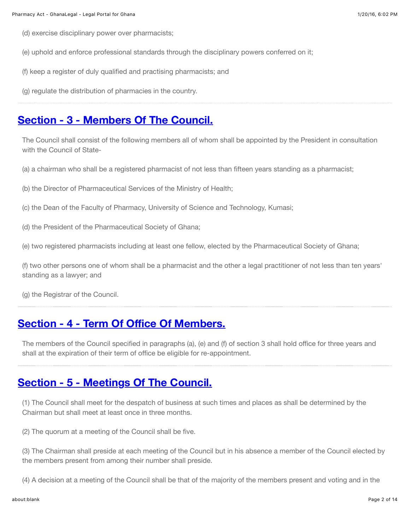- (d) exercise disciplinary power over pharmacists;
- (e) uphold and enforce professional standards through the disciplinary powers conferred on it;
- (f) keep a register of duly qualified and practising pharmacists; and
- (g) regulate the distribution of pharmacies in the country.

#### **[Section - 3 - Members Of The Council.](http://laws.ghanalegal.com/acts/id/193/section/3/Members_Of_The_Council)**

The Council shall consist of the following members all of whom shall be appointed by the President in consultation with the Council of State-

- (a) a chairman who shall be a registered pharmacist of not less than fifteen years standing as a pharmacist;
- (b) the Director of Pharmaceutical Services of the Ministry of Health;
- (c) the Dean of the Faculty of Pharmacy, University of Science and Technology, Kumasi;
- (d) the President of the Pharmaceutical Society of Ghana;
- (e) two registered pharmacists including at least one fellow, elected by the Pharmaceutical Society of Ghana;

(f) two other persons one of whom shall be a pharmacist and the other a legal practitioner of not less than ten years' standing as a lawyer; and

(g) the Registrar of the Council.

#### **[Section - 4 - Term Of O](http://laws.ghanalegal.com/acts/id/193/section/4/Term_Of_Office_Of_Members)ffice Of Members.**

The members of the Council specified in paragraphs (a), (e) and (f) of section 3 shall hold office for three years and shall at the expiration of their term of office be eligible for re-appointment.

#### **[Section - 5 - Meetings Of The Council.](http://laws.ghanalegal.com/acts/id/193/section/5/Meetings_Of_The_Council)**

(1) The Council shall meet for the despatch of business at such times and places as shall be determined by the Chairman but shall meet at least once in three months.

(2) The quorum at a meeting of the Council shall be five.

(3) The Chairman shall preside at each meeting of the Council but in his absence a member of the Council elected by the members present from among their number shall preside.

(4) A decision at a meeting of the Council shall be that of the majority of the members present and voting and in the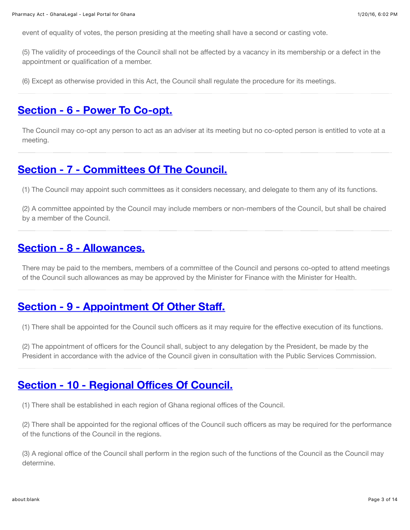event of equality of votes, the person presiding at the meeting shall have a second or casting vote.

(5) The validity of proceedings of the Council shall not be affected by a vacancy in its membership or a defect in the appointment or qualification of a member.

(6) Except as otherwise provided in this Act, the Council shall regulate the procedure for its meetings.

## **[Section - 6 - Power To Co-opt.](http://laws.ghanalegal.com/acts/id/193/section/6/Power_To_Co-opt)**

The Council may co-opt any person to act as an adviser at its meeting but no co-opted person is entitled to vote at a meeting.

# **[Section - 7 - Committees Of The Council.](http://laws.ghanalegal.com/acts/id/193/section/7/Committees_Of_The_Council)**

(1) The Council may appoint such committees as it considers necessary, and delegate to them any of its functions.

(2) A committee appointed by the Council may include members or non-members of the Council, but shall be chaired by a member of the Council.

#### **[Section - 8 - Allowances.](http://laws.ghanalegal.com/acts/id/193/section/8/Allowances)**

There may be paid to the members, members of a committee of the Council and persons co-opted to attend meetings of the Council such allowances as may be approved by the Minister for Finance with the Minister for Health.

# **[Section - 9 - Appointment Of Other Sta](http://laws.ghanalegal.com/acts/id/193/section/9/Appointment_Of_Other_Staff)ff.**

(1) There shall be appointed for the Council such officers as it may require for the effective execution of its functions.

(2) The appointment of officers for the Council shall, subject to any delegation by the President, be made by the President in accordance with the advice of the Council given in consultation with the Public Services Commission.

# **[Section - 10 - Regional O](http://laws.ghanalegal.com/acts/id/193/section/10/Regional_Offices_Of_Council)ffices Of Council.**

(1) There shall be established in each region of Ghana regional offices of the Council.

(2) There shall be appointed for the regional offices of the Council such officers as may be required for the performance of the functions of the Council in the regions.

(3) A regional office of the Council shall perform in the region such of the functions of the Council as the Council may determine.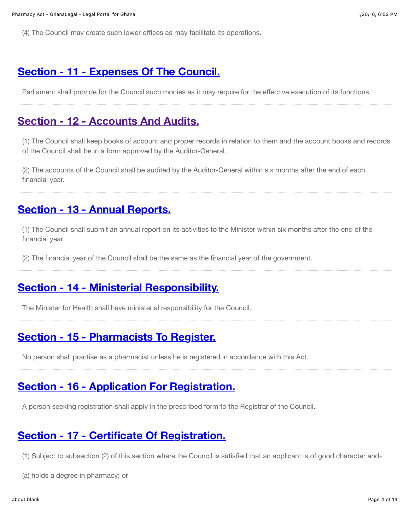(4) The Council may create such lower offices as may facilitate its operations.

#### **[Section - 11 - Expenses Of The Council.](http://laws.ghanalegal.com/acts/id/193/section/11/Expenses_Of_The_Council)**

Parliament shall provide for the Council such monies as it may require for the effective execution of its functions.

#### **[Section - 12 - Accounts And Audits.](http://laws.ghanalegal.com/acts/id/193/section/12/Accounts_And_Audits)**

(1) The Council shall keep books of account and proper records in relation to them and the account books and records of the Council shall be in a form approved by the Auditor-General.

(2) The accounts of the Council shall be audited by the Auditor-General within six months after the end of each financial year.

# **[Section - 13 - Annual Reports.](http://laws.ghanalegal.com/acts/id/193/section/13/Annual_Reports)**

(1) The Council shall submit an annual report on its activities to the Minister within six months after the end of the financial year.

(2) The financial year of the Council shall be the same as the financial year of the government.

# **[Section - 14 - Ministerial Responsibility.](http://laws.ghanalegal.com/acts/id/193/section/14/Ministerial_Responsibility)**

The Minister for Health shall have ministerial responsibility for the Council.

# **[Section - 15 - Pharmacists To Register.](http://laws.ghanalegal.com/acts/id/193/section/15/Pharmacists_To_Register)**

No person shall practise as a pharmacist unless he is registered in accordance with this Act.

# **[Section - 16 - Application For Registration.](http://laws.ghanalegal.com/acts/id/193/section/16/Application_For_Registration)**

A person seeking registration shall apply in the prescribed form to the Registrar of the Council.

#### **[Section - 17 - Certificate Of Registration.](http://laws.ghanalegal.com/acts/id/193/section/17/Certificate_Of_Registration)**

(1) Subject to subsection (2) of this section where the Council is satisfied that an applicant is of good character and-

(a) holds a degree in pharmacy; or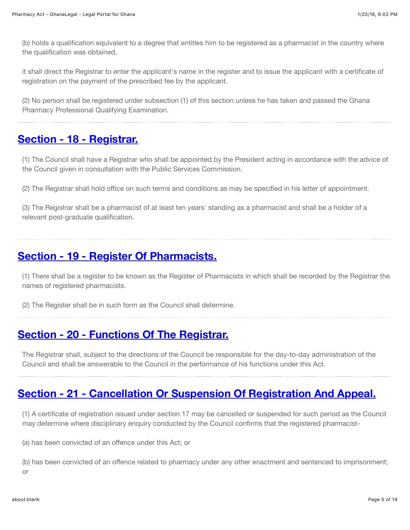(b) holds a qualification equivalent to a degree that entitles him to be registered as a pharmacist in the country where the qualification was obtained,

it shall direct the Registrar to enter the applicant's name in the register and to issue the applicant with a certificate of registration on the payment of the prescribed fee by the applicant.

(2) No person shall be registered under subsection (1) of this section unless he has taken and passed the Ghana Pharmacy Professional Qualifying Examination.

## **[Section - 18 - Registrar.](http://laws.ghanalegal.com/acts/id/193/section/18/Registrar)**

(1) The Council shall have a Registrar who shall be appointed by the President acting in accordance with the advice of the Council given in consultation with the Public Services Commission.

(2) The Registrar shall hold office on such terms and conditions as may be specified in his letter of appointment.

(3) The Registrar shall be a pharmacist of at least ten years' standing as a pharmacist and shall be a holder of a relevant post-graduate qualification.

# **[Section - 19 - Register Of Pharmacists.](http://laws.ghanalegal.com/acts/id/193/section/19/Register_Of_Pharmacists)**

(1) There shall be a register to be known as the Register of Pharmacists in which shall be recorded by the Registrar the names of registered pharmacists.

(2) The Register shall be in such form as the Council shall determine.

# **[Section - 20 - Functions Of The Registrar.](http://laws.ghanalegal.com/acts/id/193/section/20/Functions_Of_The_Registrar)**

The Registrar shall, subject to the directions of the Council be responsible for the day-to-day administration of the Council and shall be answerable to the Council in the performance of his functions under this Act.

# **[Section - 21 - Cancellation Or Suspension Of Registration And Appeal.](http://laws.ghanalegal.com/acts/id/193/section/21/Cancellation_Or_Suspension_Of_Registration_And_Appeal)**

(1) A certificate of registration issued under section 17 may be cancelled or suspended for such period as the Council may determine where disciplinary enquiry conducted by the Council confirms that the registered pharmacist-

(a) has been convicted of an offence under this Act; or

(b) has been convicted of an offence related to pharmacy under any other enactment and sentenced to imprisonment; or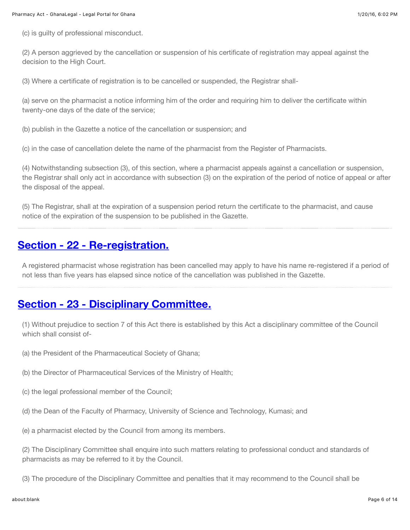(c) is guilty of professional misconduct.

(2) A person aggrieved by the cancellation or suspension of his certificate of registration may appeal against the decision to the High Court.

(3) Where a certificate of registration is to be cancelled or suspended, the Registrar shall-

(a) serve on the pharmacist a notice informing him of the order and requiring him to deliver the certificate within twenty-one days of the date of the service;

(b) publish in the Gazette a notice of the cancellation or suspension; and

(c) in the case of cancellation delete the name of the pharmacist from the Register of Pharmacists.

(4) Notwithstanding subsection (3), of this section, where a pharmacist appeals against a cancellation or suspension, the Registrar shall only act in accordance with subsection (3) on the expiration of the period of notice of appeal or after the disposal of the appeal.

(5) The Registrar, shall at the expiration of a suspension period return the certificate to the pharmacist, and cause notice of the expiration of the suspension to be published in the Gazette.

#### **[Section - 22 - Re-registration.](http://laws.ghanalegal.com/acts/id/193/section/22/Re-registration)**

A registered pharmacist whose registration has been cancelled may apply to have his name re-registered if a period of not less than five years has elapsed since notice of the cancellation was published in the Gazette.

#### **[Section - 23 - Disciplinary Committee.](http://laws.ghanalegal.com/acts/id/193/section/23/Disciplinary_Committee)**

(1) Without prejudice to section 7 of this Act there is established by this Act a disciplinary committee of the Council which shall consist of-

- (a) the President of the Pharmaceutical Society of Ghana;
- (b) the Director of Pharmaceutical Services of the Ministry of Health;
- (c) the legal professional member of the Council;
- (d) the Dean of the Faculty of Pharmacy, University of Science and Technology, Kumasi; and
- (e) a pharmacist elected by the Council from among its members.

(2) The Disciplinary Committee shall enquire into such matters relating to professional conduct and standards of pharmacists as may be referred to it by the Council.

(3) The procedure of the Disciplinary Committee and penalties that it may recommend to the Council shall be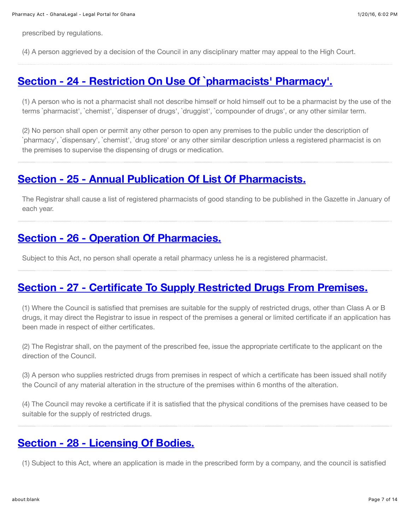prescribed by regulations.

(4) A person aggrieved by a decision of the Council in any disciplinary matter may appeal to the High Court.

#### **[Section - 24 - Restriction On Use Of `pharmacists' Pharmacy'.](http://laws.ghanalegal.com/acts/id/193/section/24/Restriction_On_Use_Of_%60pharmacists_Pharmacy)**

(1) A person who is not a pharmacist shall not describe himself or hold himself out to be a pharmacist by the use of the terms `pharmacist', `chemist', `dispenser of drugs', `druggist', `compounder of drugs', or any other similar term.

(2) No person shall open or permit any other person to open any premises to the public under the description of `pharmacy', `dispensary', `chemist', `drug store' or any other similar description unless a registered pharmacist is on the premises to supervise the dispensing of drugs or medication.

#### **[Section - 25 - Annual Publication Of List Of Pharmacists.](http://laws.ghanalegal.com/acts/id/193/section/25/Annual_Publication_Of_List_Of_Pharmacists)**

The Registrar shall cause a list of registered pharmacists of good standing to be published in the Gazette in January of each year.

#### **[Section - 26 - Operation Of Pharmacies.](http://laws.ghanalegal.com/acts/id/193/section/26/Operation_Of_Pharmacies)**

Subject to this Act, no person shall operate a retail pharmacy unless he is a registered pharmacist.

#### **[Section - 27 - Certificate To Supply Restricted Drugs From Premises.](http://laws.ghanalegal.com/acts/id/193/section/27/Certificate_To_Supply_Restricted_Drugs_From_Premises)**

(1) Where the Council is satisfied that premises are suitable for the supply of restricted drugs, other than Class A or B drugs, it may direct the Registrar to issue in respect of the premises a general or limited certificate if an application has been made in respect of either certificates.

(2) The Registrar shall, on the payment of the prescribed fee, issue the appropriate certificate to the applicant on the direction of the Council.

(3) A person who supplies restricted drugs from premises in respect of which a certificate has been issued shall notify the Council of any material alteration in the structure of the premises within 6 months of the alteration.

(4) The Council may revoke a certificate if it is satisfied that the physical conditions of the premises have ceased to be suitable for the supply of restricted drugs.

#### **[Section - 28 - Licensing Of Bodies.](http://laws.ghanalegal.com/acts/id/193/section/28/Licensing_Of_Bodies)**

(1) Subject to this Act, where an application is made in the prescribed form by a company, and the council is satisfied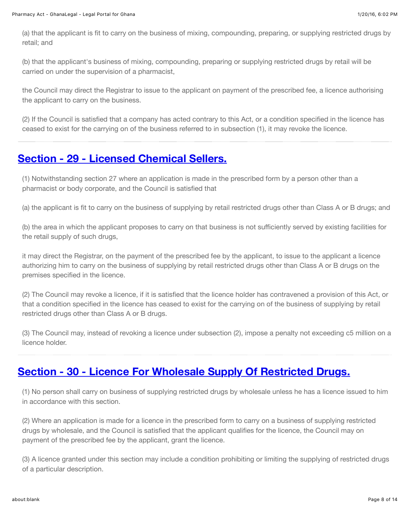(a) that the applicant is fit to carry on the business of mixing, compounding, preparing, or supplying restricted drugs by retail; and

(b) that the applicant's business of mixing, compounding, preparing or supplying restricted drugs by retail will be carried on under the supervision of a pharmacist,

the Council may direct the Registrar to issue to the applicant on payment of the prescribed fee, a licence authorising the applicant to carry on the business.

(2) If the Council is satisfied that a company has acted contrary to this Act, or a condition specified in the licence has ceased to exist for the carrying on of the business referred to in subsection (1), it may revoke the licence.

# **[Section - 29 - Licensed Chemical Sellers.](http://laws.ghanalegal.com/acts/id/193/section/29/Licensed_Chemical_Sellers)**

(1) Notwithstanding section 27 where an application is made in the prescribed form by a person other than a pharmacist or body corporate, and the Council is satisfied that

(a) the applicant is fit to carry on the business of supplying by retail restricted drugs other than Class A or B drugs; and

(b) the area in which the applicant proposes to carry on that business is not sufficiently served by existing facilities for the retail supply of such drugs,

it may direct the Registrar, on the payment of the prescribed fee by the applicant, to issue to the applicant a licence authorizing him to carry on the business of supplying by retail restricted drugs other than Class A or B drugs on the premises specified in the licence.

(2) The Council may revoke a licence, if it is satisfied that the licence holder has contravened a provision of this Act, or that a condition specified in the licence has ceased to exist for the carrying on of the business of supplying by retail restricted drugs other than Class A or B drugs.

(3) The Council may, instead of revoking a licence under subsection (2), impose a penalty not exceeding c5 million on a licence holder.

# **[Section - 30 - Licence For Wholesale Supply Of Restricted Drugs.](http://laws.ghanalegal.com/acts/id/193/section/30/Licence_For_Wholesale_Supply_Of_Restricted_Drugs)**

(1) No person shall carry on business of supplying restricted drugs by wholesale unless he has a licence issued to him in accordance with this section.

(2) Where an application is made for a licence in the prescribed form to carry on a business of supplying restricted drugs by wholesale, and the Council is satisfied that the applicant qualifies for the licence, the Council may on payment of the prescribed fee by the applicant, grant the licence.

(3) A licence granted under this section may include a condition prohibiting or limiting the supplying of restricted drugs of a particular description.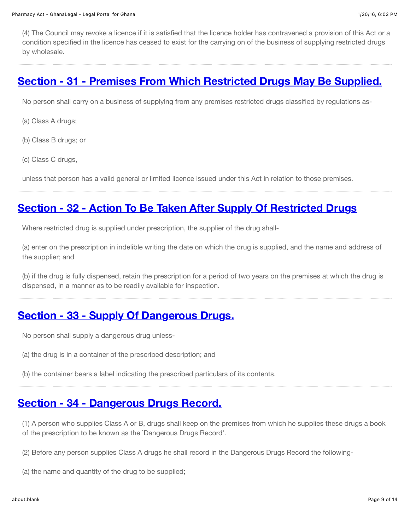(4) The Council may revoke a licence if it is satisfied that the licence holder has contravened a provision of this Act or a condition specified in the licence has ceased to exist for the carrying on of the business of supplying restricted drugs by wholesale.

#### **[Section - 31 - Premises From Which Restricted Drugs May Be Supplied.](http://laws.ghanalegal.com/acts/id/193/section/31/Premises_From_Which_Restricted_Drugs_May_Be_Supplied)**

No person shall carry on a business of supplying from any premises restricted drugs classified by regulations as-

- (a) Class A drugs;
- (b) Class B drugs; or
- (c) Class C drugs,

unless that person has a valid general or limited licence issued under this Act in relation to those premises.

# **[Section - 32 - Action To Be Taken After Supply Of Restricted Drugs](http://laws.ghanalegal.com/acts/id/193/section/32/Action_To_Be_Taken_After_Supply_Of_Restricted_Drugs)**

Where restricted drug is supplied under prescription, the supplier of the drug shall-

(a) enter on the prescription in indelible writing the date on which the drug is supplied, and the name and address of the supplier; and

(b) if the drug is fully dispensed, retain the prescription for a period of two years on the premises at which the drug is dispensed, in a manner as to be readily available for inspection.

# **[Section - 33 - Supply Of Dangerous Drugs.](http://laws.ghanalegal.com/acts/id/193/section/33/Supply_Of_Dangerous_Drugs)**

No person shall supply a dangerous drug unless-

- (a) the drug is in a container of the prescribed description; and
- (b) the container bears a label indicating the prescribed particulars of its contents.

# **[Section - 34 - Dangerous Drugs Record.](http://laws.ghanalegal.com/acts/id/193/section/34/Dangerous_Drugs_Record)**

(1) A person who supplies Class A or B, drugs shall keep on the premises from which he supplies these drugs a book of the prescription to be known as the `Dangerous Drugs Record'.

- (2) Before any person supplies Class A drugs he shall record in the Dangerous Drugs Record the following-
- (a) the name and quantity of the drug to be supplied;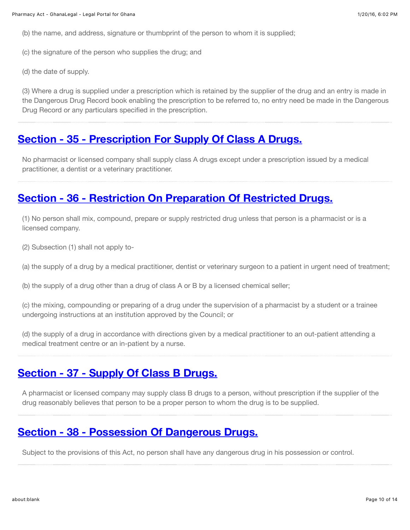(b) the name, and address, signature or thumbprint of the person to whom it is supplied;

(c) the signature of the person who supplies the drug; and

(d) the date of supply.

(3) Where a drug is supplied under a prescription which is retained by the supplier of the drug and an entry is made in the Dangerous Drug Record book enabling the prescription to be referred to, no entry need be made in the Dangerous Drug Record or any particulars specified in the prescription.

## **[Section - 35 - Prescription For Supply Of Class A Drugs.](http://laws.ghanalegal.com/acts/id/193/section/35/Prescription_For_Supply_Of_Class_A_Drugs)**

No pharmacist or licensed company shall supply class A drugs except under a prescription issued by a medical practitioner, a dentist or a veterinary practitioner.

# **[Section - 36 - Restriction On Preparation Of Restricted Drugs.](http://laws.ghanalegal.com/acts/id/193/section/36/Restriction_On_Preparation_Of_Restricted_Drugs)**

(1) No person shall mix, compound, prepare or supply restricted drug unless that person is a pharmacist or is a licensed company.

(2) Subsection (1) shall not apply to-

(a) the supply of a drug by a medical practitioner, dentist or veterinary surgeon to a patient in urgent need of treatment;

(b) the supply of a drug other than a drug of class A or B by a licensed chemical seller;

(c) the mixing, compounding or preparing of a drug under the supervision of a pharmacist by a student or a trainee undergoing instructions at an institution approved by the Council; or

(d) the supply of a drug in accordance with directions given by a medical practitioner to an out-patient attending a medical treatment centre or an in-patient by a nurse.

# **[Section - 37 - Supply Of Class B Drugs.](http://laws.ghanalegal.com/acts/id/193/section/37/Supply_Of_Class_B_Drugs)**

A pharmacist or licensed company may supply class B drugs to a person, without prescription if the supplier of the drug reasonably believes that person to be a proper person to whom the drug is to be supplied.

# **[Section - 38 - Possession Of Dangerous Drugs.](http://laws.ghanalegal.com/acts/id/193/section/38/Possession_Of_Dangerous_Drugs)**

Subject to the provisions of this Act, no person shall have any dangerous drug in his possession or control.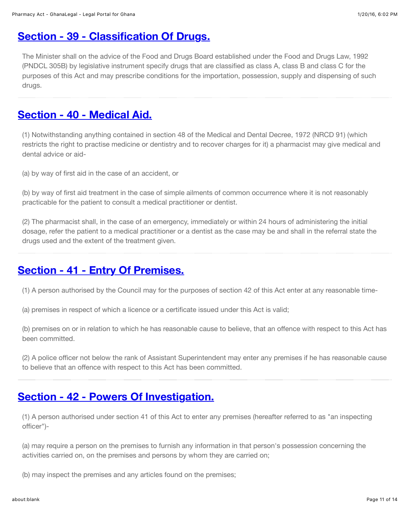# **[Section - 39 - Classification Of Drugs.](http://laws.ghanalegal.com/acts/id/193/section/39/Classification_Of_Drugs)**

The Minister shall on the advice of the Food and Drugs Board established under the Food and Drugs Law, 1992 (PNDCL 305B) by legislative instrument specify drugs that are classified as class A, class B and class C for the purposes of this Act and may prescribe conditions for the importation, possession, supply and dispensing of such drugs.

# **[Section - 40 - Medical Aid.](http://laws.ghanalegal.com/acts/id/193/section/40/Medical_Aid)**

(1) Notwithstanding anything contained in section 48 of the Medical and Dental Decree, 1972 (NRCD 91) (which restricts the right to practise medicine or dentistry and to recover charges for it) a pharmacist may give medical and dental advice or aid-

(a) by way of first aid in the case of an accident, or

(b) by way of first aid treatment in the case of simple ailments of common occurrence where it is not reasonably practicable for the patient to consult a medical practitioner or dentist.

(2) The pharmacist shall, in the case of an emergency, immediately or within 24 hours of administering the initial dosage, refer the patient to a medical practitioner or a dentist as the case may be and shall in the referral state the drugs used and the extent of the treatment given.

# **[Section - 41 - Entry Of Premises.](http://laws.ghanalegal.com/acts/id/193/section/41/Entry_Of_Premises)**

(1) A person authorised by the Council may for the purposes of section 42 of this Act enter at any reasonable time-

(a) premises in respect of which a licence or a certificate issued under this Act is valid;

(b) premises on or in relation to which he has reasonable cause to believe, that an offence with respect to this Act has been committed.

(2) A police officer not below the rank of Assistant Superintendent may enter any premises if he has reasonable cause to believe that an offence with respect to this Act has been committed.

# **[Section - 42 - Powers Of Investigation.](http://laws.ghanalegal.com/acts/id/193/section/42/Powers_Of_Investigation)**

(1) A person authorised under section 41 of this Act to enter any premises (hereafter referred to as "an inspecting officer")-

(a) may require a person on the premises to furnish any information in that person's possession concerning the activities carried on, on the premises and persons by whom they are carried on;

(b) may inspect the premises and any articles found on the premises;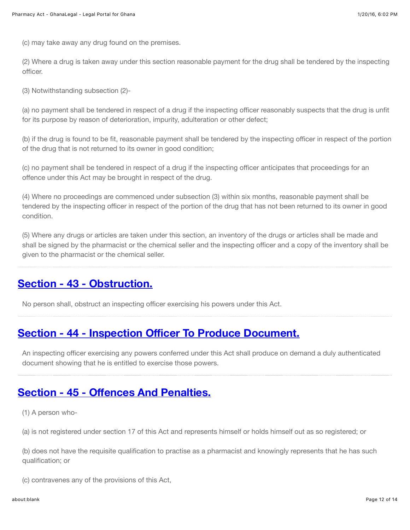(c) may take away any drug found on the premises.

(2) Where a drug is taken away under this section reasonable payment for the drug shall be tendered by the inspecting officer.

(3) Notwithstanding subsection (2)-

(a) no payment shall be tendered in respect of a drug if the inspecting officer reasonably suspects that the drug is unfit for its purpose by reason of deterioration, impurity, adulteration or other defect;

(b) if the drug is found to be fit, reasonable payment shall be tendered by the inspecting officer in respect of the portion of the drug that is not returned to its owner in good condition;

(c) no payment shall be tendered in respect of a drug if the inspecting officer anticipates that proceedings for an offence under this Act may be brought in respect of the drug.

(4) Where no proceedings are commenced under subsection (3) within six months, reasonable payment shall be tendered by the inspecting officer in respect of the portion of the drug that has not been returned to its owner in good condition.

(5) Where any drugs or articles are taken under this section, an inventory of the drugs or articles shall be made and shall be signed by the pharmacist or the chemical seller and the inspecting officer and a copy of the inventory shall be given to the pharmacist or the chemical seller.

# **[Section - 43 - Obstruction.](http://laws.ghanalegal.com/acts/id/193/section/43/Obstruction)**

No person shall, obstruct an inspecting officer exercising his powers under this Act.

#### **Section - 44 - Inspection Offi[cer To Produce Document.](http://laws.ghanalegal.com/acts/id/193/section/44/Inspection_Officer_To_Produce_Document)**

An inspecting officer exercising any powers conferred under this Act shall produce on demand a duly authenticated document showing that he is entitled to exercise those powers.

# **Section - 45 - Off[ences And Penalties.](http://laws.ghanalegal.com/acts/id/193/section/45/Offences_And_Penalties)**

(1) A person who-

(a) is not registered under section 17 of this Act and represents himself or holds himself out as so registered; or

(b) does not have the requisite qualification to practise as a pharmacist and knowingly represents that he has such qualification; or

(c) contravenes any of the provisions of this Act,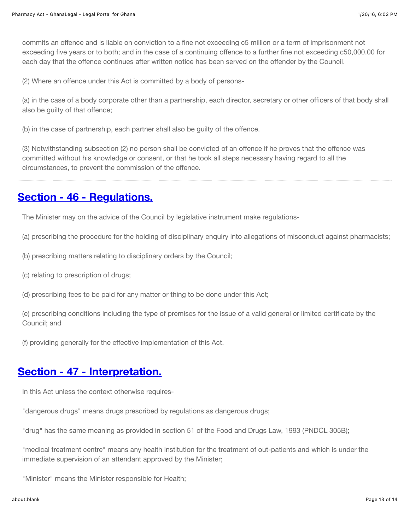commits an offence and is liable on conviction to a fine not exceeding c5 million or a term of imprisonment not exceeding five years or to both; and in the case of a continuing offence to a further fine not exceeding c50,000.00 for each day that the offence continues after written notice has been served on the offender by the Council.

(2) Where an offence under this Act is committed by a body of persons-

(a) in the case of a body corporate other than a partnership, each director, secretary or other officers of that body shall also be guilty of that offence;

(b) in the case of partnership, each partner shall also be guilty of the offence.

(3) Notwithstanding subsection (2) no person shall be convicted of an offence if he proves that the offence was committed without his knowledge or consent, or that he took all steps necessary having regard to all the circumstances, to prevent the commission of the offence.

# **[Section - 46 - Regulations.](http://laws.ghanalegal.com/acts/id/193/section/46/Regulations)**

The Minister may on the advice of the Council by legislative instrument make regulations-

(a) prescribing the procedure for the holding of disciplinary enquiry into allegations of misconduct against pharmacists;

- (b) prescribing matters relating to disciplinary orders by the Council;
- (c) relating to prescription of drugs;
- (d) prescribing fees to be paid for any matter or thing to be done under this Act;

(e) prescribing conditions including the type of premises for the issue of a valid general or limited certificate by the Council; and

(f) providing generally for the effective implementation of this Act.

# **[Section - 47 - Interpretation.](http://laws.ghanalegal.com/acts/id/193/section/47/Interpretation)**

In this Act unless the context otherwise requires-

"dangerous drugs" means drugs prescribed by regulations as dangerous drugs;

"drug" has the same meaning as provided in section 51 of the Food and Drugs Law, 1993 (PNDCL 305B);

"medical treatment centre" means any health institution for the treatment of out-patients and which is under the immediate supervision of an attendant approved by the Minister;

"Minister" means the Minister responsible for Health;